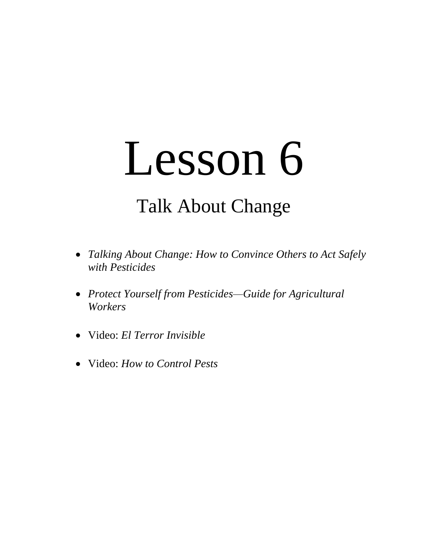# Lesson 6

# Talk About Change

- *Talking About Change: How to Convince Others to Act Safely with Pesticides*
- *Protect Yourself from Pesticides—Guide for Agricultural Workers*
- Video: *El Terror Invisible*
- Video: *How to Control Pests*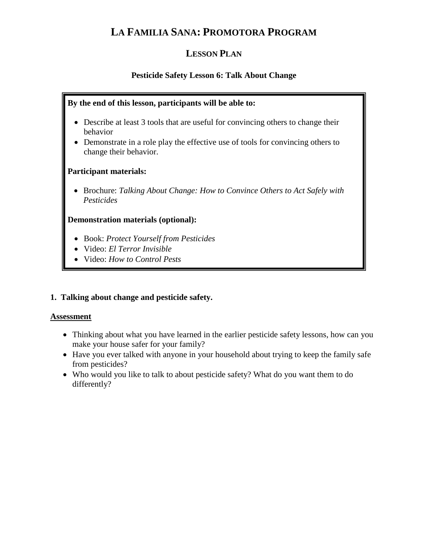## **LA FAMILIA SANA: PROMOTORA PROGRAM**

### **LESSON PLAN**

#### **Pesticide Safety Lesson 6: Talk About Change**

#### **By the end of this lesson, participants will be able to:**

- Describe at least 3 tools that are useful for convincing others to change their behavior
- Demonstrate in a role play the effective use of tools for convincing others to change their behavior.

#### **Participant materials:**

 Brochure: *Talking About Change: How to Convince Others to Act Safely with Pesticides*

#### **Demonstration materials (optional):**

- Book: *Protect Yourself from Pesticides*
- Video: *El Terror Invisible*
- Video: *How to Control Pests*

#### **1. Talking about change and pesticide safety.**

#### **Assessment**

- Thinking about what you have learned in the earlier pesticide safety lessons, how can you make your house safer for your family?
- Have you ever talked with anyone in your household about trying to keep the family safe from pesticides?
- Who would you like to talk to about pesticide safety? What do you want them to do differently?